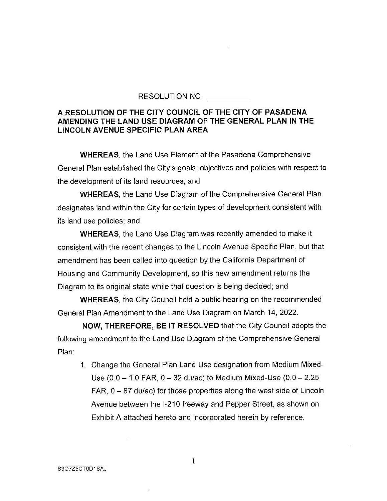RESOLUTION NO.

## **A RESOLUTION OF THE CITY COUNCIL OF THE CITY OF PASADENA AMENDING THE LAND USE DIAGRAM OF THE GENERAL PLAN IN THE LINCOLN AVENUE SPECIFIC PLAN AREA**

**WHEREAS,** the Land Use Element of the Pasadena Comprehensive General Plan established the City's goals, objectives and policies with respect to the development of its land resources; and

**WHEREAS,** the Land Use Diagram of the Comprehensive General Plan designates land within the City for certain types of development consistent with its land use policies; and

**WHEREAS,** the Land Use Diagram was recently amended to make it consistent with the recent changes to the Lincoln Avenue Specific Plan, but that amendment has been called into question by the California Department of Housing and Community Development, so this new amendment returns the Diagram to its original state while that question is being decided; and

**WHEREAS,** the City Council held a public hearing on the recommended General Plan Amendment to the Land Use Diagram on March 14, 2022.

**NOW, THEREFORE, BE IT RESOLVED** that the City Council adopts the following amendment to the Land Use Diagram of the Comprehensive General Plan:

1. Change the General Plan Land Use designation from Medium Mixed-Use  $(0.0 - 1.0$  FAR,  $0 - 32$  du/ac) to Medium Mixed-Use  $(0.0 - 2.25)$  $FAR$ ,  $0 - 87$  du/ac) for those properties along the west side of Lincoln Avenue between the 1-210 freeway and Pepper Street, as shown on Exhibit A attached hereto and incorporated herein by reference.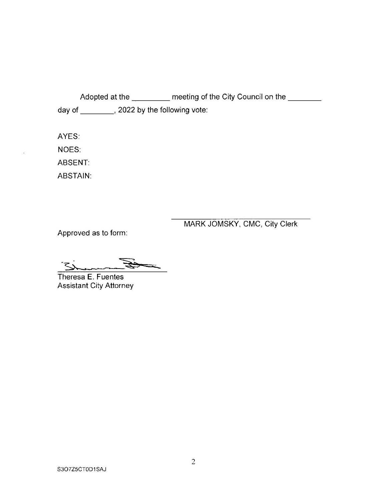Adopted at the \_\_\_\_\_\_\_\_ meeting of the City Council on the \_\_\_\_\_\_ day of \_\_\_\_\_\_\_\_, 2022 by the following vote:

AYES: NOES:

ABSENT:

ABSTAIN:

MARK JOMSKY, CMC, City Clerk

Approved as to form:

 $-2$ 

Theresa E. Fuentes Assistant City Attorney